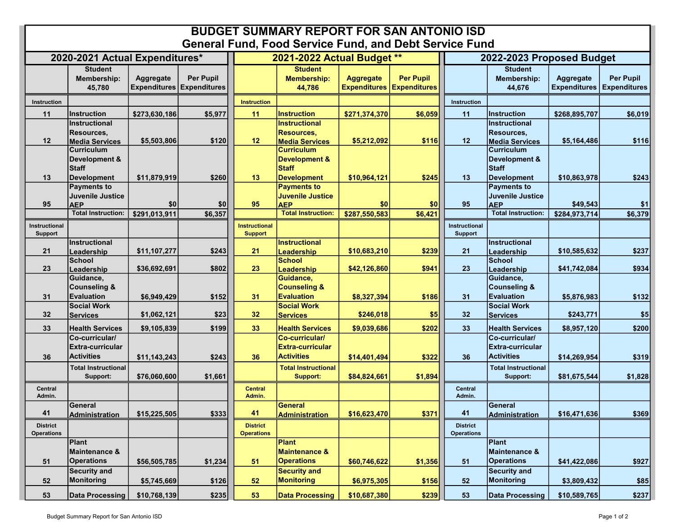## BUDGET SUMMARY REPORT FOR SAN ANTONIO ISD General Fund, Food Service Fund, and Debt Service Fund

| PVIIVIMI I MIIMI I                     |                                                                          |               |                                               | 000 001 1100 1 01101 0110 DONT OOI 1100 |                                                                          |                                                      |                  |                                      |                                                                          |                                  |                                         |  |
|----------------------------------------|--------------------------------------------------------------------------|---------------|-----------------------------------------------|-----------------------------------------|--------------------------------------------------------------------------|------------------------------------------------------|------------------|--------------------------------------|--------------------------------------------------------------------------|----------------------------------|-----------------------------------------|--|
| 2020-2021 Actual Expenditures*         |                                                                          |               |                                               | 2021-2022 Actual Budget **              |                                                                          |                                                      |                  | 2022-2023 Proposed Budget            |                                                                          |                                  |                                         |  |
|                                        | <b>Student</b><br><b>Membership:</b><br>45,780                           | Aggregate     | Per Pupil<br><b>Expenditures Expenditures</b> |                                         | <b>Student</b><br><b>Membership:</b><br>44,786                           | <b>Aggregate</b><br><b>Expenditures Expenditures</b> | <b>Per Pupil</b> |                                      | <b>Student</b><br><b>Membership:</b><br>44,676                           | Aggregate<br><b>Expenditures</b> | <b>Per Pupil</b><br><b>Expenditures</b> |  |
| Instruction                            |                                                                          |               |                                               | <b>Instruction</b>                      |                                                                          |                                                      |                  | Instruction                          |                                                                          |                                  |                                         |  |
| 11                                     | Instruction                                                              | \$273,630,186 | \$5,977                                       | 11                                      | <b>Instruction</b>                                                       | \$271,374,370                                        | \$6,059          | 11                                   | <b>Instruction</b>                                                       | \$268,895,707                    | \$6,019                                 |  |
| 12                                     | Instructional<br>Resources,<br><b>Media Services</b>                     | \$5,503,806   | \$120                                         | 12                                      | <b>Instructional</b><br>Resources,<br><b>Media Services</b>              | \$5,212,092                                          | \$116            | 12                                   | <b>Instructional</b><br>Resources,<br><b>Media Services</b>              | \$5,164,486                      | \$116                                   |  |
| 13                                     | <b>Curriculum</b><br>Development &<br><b>Staff</b><br><b>Development</b> | \$11,879,919  | \$260                                         | 13                                      | <b>Curriculum</b><br>Development &<br><b>Staff</b><br><b>Development</b> | \$10,964,121                                         | \$245            | 13                                   | <b>Curriculum</b><br>Development &<br><b>Staff</b><br><b>Development</b> | \$10,863,978                     | \$243                                   |  |
|                                        | <b>Payments to</b>                                                       |               |                                               |                                         | <b>Payments to</b>                                                       |                                                      |                  |                                      | <b>Payments to</b>                                                       |                                  |                                         |  |
| 95                                     | Juvenile Justice<br><b>AEP</b>                                           | \$0           | \$0                                           | 95                                      | <b>Juvenile Justice</b><br><b>AEP</b>                                    | \$0                                                  | \$0              | 95                                   | <b>Juvenile Justice</b><br><b>AEP</b>                                    | \$49,543                         | \$1                                     |  |
|                                        | <b>Total Instruction:</b>                                                | \$291,013,911 | \$6,357                                       |                                         | <b>Total Instruction:</b>                                                | \$287,550,583                                        | \$6,421          |                                      | <b>Total Instruction:</b>                                                | \$284,973,714                    | \$6,379                                 |  |
| <b>Instructional</b><br><b>Support</b> |                                                                          |               |                                               | <b>Instructional</b><br><b>Support</b>  |                                                                          |                                                      |                  | Instructional<br><b>Support</b>      |                                                                          |                                  |                                         |  |
| 21                                     | Instructional<br>Leadership                                              | \$11,107,277  | \$243                                         | 21                                      | <b>Instructional</b><br>Leadership                                       | \$10,683,210                                         | \$239            | 21                                   | <b>Instructional</b><br>Leadership                                       | \$10,585,632                     | \$237                                   |  |
|                                        | <b>School</b>                                                            |               |                                               |                                         | <b>School</b>                                                            |                                                      |                  |                                      | <b>School</b>                                                            | \$41.742.084                     |                                         |  |
| 23                                     | Leadership<br>Guidance,                                                  | \$36,692,691  | \$802                                         | 23                                      | Leadership<br>Guidance,                                                  | \$42,126,860                                         | \$941            | 23                                   | Leadership<br>Guidance,                                                  |                                  | \$934                                   |  |
|                                        | <b>Counseling &amp;</b>                                                  |               |                                               |                                         | <b>Counseling &amp;</b>                                                  |                                                      |                  |                                      | <b>Counseling &amp;</b>                                                  |                                  |                                         |  |
| 31                                     | <b>Evaluation</b>                                                        | \$6,949,429   | \$152                                         | 31                                      | <b>Evaluation</b>                                                        | \$8,327,394                                          | \$186            | 31                                   | <b>Evaluation</b>                                                        | \$5,876,983                      | \$132                                   |  |
| 32                                     | <b>Social Work</b>                                                       |               | \$23                                          | 32 <sub>2</sub>                         | <b>Social Work</b>                                                       | \$246,018                                            |                  | 32                                   | <b>Social Work</b>                                                       | \$243,771                        |                                         |  |
|                                        | <b>Services</b>                                                          | \$1,062,121   |                                               |                                         | <b>Services</b>                                                          |                                                      | \$5              |                                      | <b>Services</b>                                                          |                                  | \$5                                     |  |
| 33                                     | <b>Health Services</b>                                                   | \$9,105,839   | \$199                                         | 33                                      | <b>Health Services</b>                                                   | \$9,039,686                                          | \$202            | 33                                   | <b>Health Services</b>                                                   | \$8,957,120                      | \$200                                   |  |
| 36                                     | Co-curricular/<br>Extra-curricular<br><b>Activities</b>                  | \$11,143,243  | \$243                                         | 36                                      | Co-curricular/<br><b>Extra-curricular</b><br><b>Activities</b>           | \$14,401,494                                         | \$322            | 36                                   | Co-curricular/<br><b>Extra-curricular</b><br><b>Activities</b>           | \$14,269,954                     | \$319                                   |  |
|                                        | <b>Total Instructional</b><br>Support:                                   | \$76,060,600  | \$1,661                                       |                                         | <b>Total Instructional</b><br><b>Support:</b>                            | \$84,824,661                                         | \$1,894          |                                      | <b>Total Instructional</b><br>Support:                                   | \$81,675,544                     | \$1,828                                 |  |
| <b>Central</b><br>Admin.               |                                                                          |               |                                               | <b>Central</b><br>Admin.                |                                                                          |                                                      |                  | <b>Central</b><br>Admin.             |                                                                          |                                  |                                         |  |
| 41                                     | General<br><b>Administration</b>                                         | \$15,225,505  | \$333                                         | 41                                      | General<br><b>Administration</b>                                         | \$16,623,470                                         | \$371            | 41                                   | <b>General</b><br><b>Administration</b>                                  | \$16,471,636                     | \$369                                   |  |
| <b>District</b><br><b>Operations</b>   |                                                                          |               |                                               | <b>District</b><br><b>Operations</b>    |                                                                          |                                                      |                  | <b>District</b><br><b>Operations</b> |                                                                          |                                  |                                         |  |
| 51                                     | Plant<br>Maintenance &<br><b>Operations</b>                              | \$56,505,785  | \$1,234                                       | 51                                      | <b>Plant</b><br><b>Maintenance &amp;</b><br><b>Operations</b>            | \$60,746,622                                         | \$1,356          | 51                                   | <b>Plant</b><br><b>Maintenance &amp;</b><br><b>Operations</b>            | \$41,422,086                     | \$927                                   |  |
| 52                                     | <b>Security and</b><br>Monitoring                                        | \$5,745,669   | \$126                                         | 52                                      | <b>Security and</b><br>Monitoring                                        | \$6,975,305                                          | \$156            | 52                                   | <b>Security and</b><br><b>Monitoring</b>                                 | \$3,809,432                      | \$85                                    |  |
| 53                                     | Data Processing                                                          | \$10,768,139  | \$235                                         | 53                                      | <b>Data Processing</b>                                                   | \$10,687,380                                         | \$239            | 53                                   | <b>Data Processing</b>                                                   | \$10,589,765                     | \$237                                   |  |